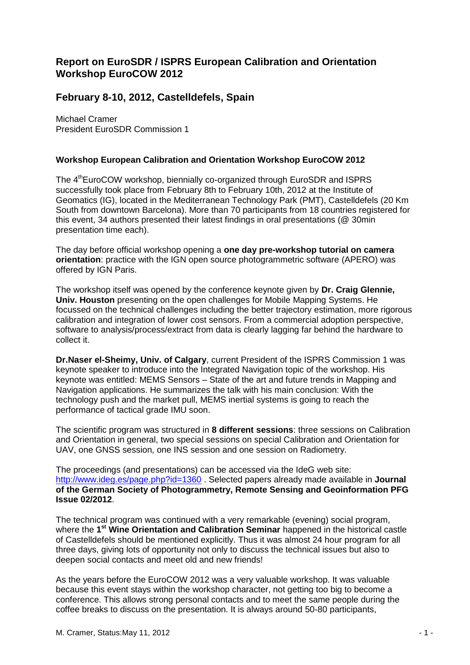## **Report on EuroSDR / ISPRS European Calibration and Orientation Workshop EuroCOW 2012**

## **February 8-10, 2012, Castelldefels, Spain**

Michael Cramer President EuroSDR Commission 1

## **Workshop European Calibration and Orientation Workshop EuroCOW 2012**

The 4<sup>th</sup>EuroCOW workshop, biennially co-organized through EuroSDR and ISPRS successfully took place from February 8th to February 10th, 2012 at the Institute of Geomatics (IG), located in the Mediterranean Technology Park (PMT), Castelldefels (20 Km South from downtown Barcelona). More than 70 participants from 18 countries registered for this event, 34 authors presented their latest findings in oral presentations (@ 30min presentation time each).

The day before official workshop opening a **one day pre-workshop tutorial on camera orientation**: practice with the IGN open source photogrammetric software (APERO) was offered by IGN Paris.

The workshop itself was opened by the conference keynote given by **Dr. Craig Glennie, Univ. Houston** presenting on the open challenges for Mobile Mapping Systems. He focussed on the technical challenges including the better trajectory estimation, more rigorous calibration and integration of lower cost sensors. From a commercial adoption perspective, software to analysis/process/extract from data is clearly lagging far behind the hardware to collect it.

**Dr.Naser el-Sheimy, Univ. of Calgary**, current President of the ISPRS Commission 1 was keynote speaker to introduce into the Integrated Navigation topic of the workshop. His keynote was entitled: MEMS Sensors – State of the art and future trends in Mapping and Navigation applications. He summarizes the talk with his main conclusion: With the technology push and the market pull, MEMS inertial systems is going to reach the performance of tactical grade IMU soon.

The scientific program was structured in **8 different sessions**: three sessions on Calibration and Orientation in general, two special sessions on special Calibration and Orientation for UAV, one GNSS session, one INS session and one session on Radiometry.

The proceedings (and presentations) can be accessed via the IdeG web site: <http://www.ideg.es/page.php?id=1360> . Selected papers already made available in **Journal of the German Society of Photogrammetry, Remote Sensing and Geoinformation PFG Issue 02/2012**.

The technical program was continued with a very remarkable (evening) social program, where the 1<sup>st</sup> Wine Orientation and Calibration Seminar happened in the historical castle of Castelldefels should be mentioned explicitly. Thus it was almost 24 hour program for all three days, giving lots of opportunity not only to discuss the technical issues but also to deepen social contacts and meet old and new friends!

As the years before the EuroCOW 2012 was a very valuable workshop. It was valuable because this event stays within the workshop character, not getting too big to become a conference. This allows strong personal contacts and to meet the same people during the coffee breaks to discuss on the presentation. It is always around 50-80 participants,